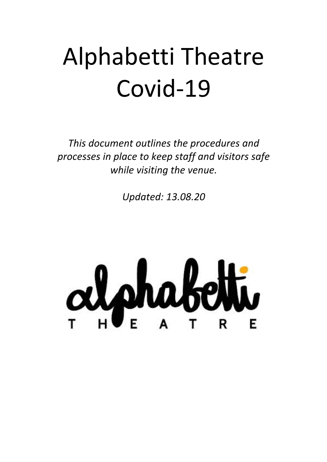## Alphabetti Theatre Covid-19

This document outlines the procedures and processes in place to keep staff and visitors safe *while visiting the venue.* 

*Updated: 13.08.20*

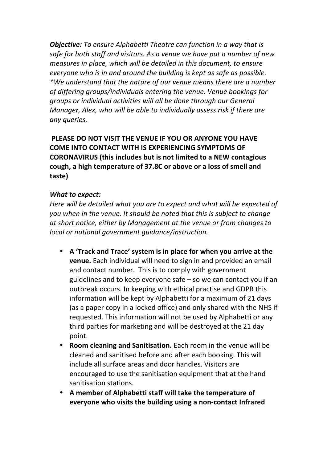*Objective: To ensure Alphabetti Theatre can function in a way that is* safe for both staff and visitors. As a venue we have put a number of new *measures in place, which will be detailed in this document, to ensure everyone* who is in and around the building is kept as safe as possible. *\*We understand that the nature of our venue means there are a number*  of differing groups/individuals entering the venue. Venue bookings for *groups or individual activities will all be done through our General Manager, Alex, who will be able to individually assess risk if there are any queries.*

**PLEASE DO NOT VISIT THE VENUE IF YOU OR ANYONE YOU HAVE COME INTO CONTACT WITH IS EXPERIENCING SYMPTOMS OF CORONAVIRUS (this includes but is not limited to a NEW contagious** cough, a high temperature of 37.8C or above or a loss of smell and **taste)** 

## **What to expect:**

*Here* will be detailed what you are to expect and what will be expected of you when in the venue. It should be noted that this is subject to change at short notice, either by Management at the venue or from changes to *local* or national government quidance/instruction.

- A 'Track and Trace' system is in place for when you arrive at the **venue.** Each individual will need to sign in and provided an email and contact number. This is to comply with government guidelines and to keep everyone safe  $-$  so we can contact you if an outbreak occurs. In keeping with ethical practise and GDPR this information will be kept by Alphabetti for a maximum of 21 days (as a paper copy in a locked office) and only shared with the NHS if requested. This information will not be used by Alphabetti or any third parties for marketing and will be destroyed at the 21 day point.
- **Room cleaning and Sanitisation.** Each room in the venue will be cleaned and sanitised before and after each booking. This will include all surface areas and door handles. Visitors are encouraged to use the sanitisation equipment that at the hand sanitisation stations.
- A member of Alphabetti staff will take the temperature of **everyone who visits the building using a non-contact Infrared**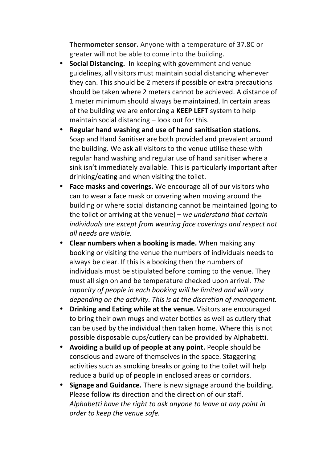**Thermometer sensor.** Anyone with a temperature of 37.8C or greater will not be able to come into the building.

- **Social Distancing.** In keeping with government and venue guidelines, all visitors must maintain social distancing whenever they can. This should be 2 meters if possible or extra precautions should be taken where 2 meters cannot be achieved. A distance of 1 meter minimum should always be maintained. In certain areas of the building we are enforcing a **KEEP LEFT** system to help maintain social distancing  $-$  look out for this.
- **Regular hand washing and use of hand sanitisation stations.** Soap and Hand Sanitiser are both provided and prevalent around the building. We ask all visitors to the venue utilise these with regular hand washing and regular use of hand sanitiser where a sink isn't immediately available. This is particularly important after drinking/eating and when visiting the toilet.
- Face masks and coverings. We encourage all of our visitors who can to wear a face mask or covering when moving around the building or where social distancing cannot be maintained (going to the toilet or arriving at the venue) – we understand that certain individuals are except from wearing face coverings and respect not *all needs are visible.*
- Clear numbers when a booking is made. When making any booking or visiting the venue the numbers of individuals needs to always be clear. If this is a booking then the numbers of individuals must be stipulated before coming to the venue. They must all sign on and be temperature checked upon arrival. The *capacity* of people in each booking will be limited and will vary *depending on the activity. This is at the discretion of management.*
- Drinking and Eating while at the venue. Visitors are encouraged to bring their own mugs and water bottles as well as cutlery that can be used by the individual then taken home. Where this is not possible disposable cups/cutlery can be provided by Alphabetti.
- Avoiding a build up of people at any point. People should be conscious and aware of themselves in the space. Staggering activities such as smoking breaks or going to the toilet will help reduce a build up of people in enclosed areas or corridors.
- Signage and Guidance. There is new signage around the building. Please follow its direction and the direction of our staff. *Alphabetti have the right to ask anyone to leave at any point in order to keep the venue safe.*